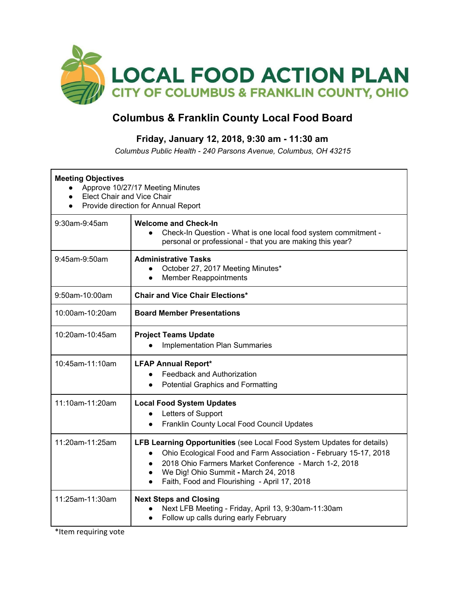

## **Columbus & Franklin County Local Food Board**

## **Friday, January 12, 2018, 9:30 am - 11:30 am**

*Columbus Public Health - 240 Parsons Avenue, Columbus, OH 43215*

| <b>Meeting Objectives</b><br>Approve 10/27/17 Meeting Minutes<br><b>Elect Chair and Vice Chair</b><br>Provide direction for Annual Report |                                                                                                                                                                                                                                                                                                                                                        |  |  |
|-------------------------------------------------------------------------------------------------------------------------------------------|--------------------------------------------------------------------------------------------------------------------------------------------------------------------------------------------------------------------------------------------------------------------------------------------------------------------------------------------------------|--|--|
| 9:30am-9:45am                                                                                                                             | <b>Welcome and Check-In</b><br>Check-In Question - What is one local food system commitment -<br>$\bullet$<br>personal or professional - that you are making this year?                                                                                                                                                                                |  |  |
| 9:45am-9:50am                                                                                                                             | <b>Administrative Tasks</b><br>October 27, 2017 Meeting Minutes*<br><b>Member Reappointments</b><br>$\bullet$                                                                                                                                                                                                                                          |  |  |
| 9:50am-10:00am                                                                                                                            | <b>Chair and Vice Chair Elections*</b>                                                                                                                                                                                                                                                                                                                 |  |  |
| 10:00am-10:20am                                                                                                                           | <b>Board Member Presentations</b>                                                                                                                                                                                                                                                                                                                      |  |  |
| 10:20am-10:45am                                                                                                                           | <b>Project Teams Update</b><br><b>Implementation Plan Summaries</b>                                                                                                                                                                                                                                                                                    |  |  |
| 10:45am-11:10am                                                                                                                           | <b>LFAP Annual Report*</b><br>Feedback and Authorization<br>$\bullet$<br><b>Potential Graphics and Formatting</b><br>$\bullet$                                                                                                                                                                                                                         |  |  |
| 11:10am-11:20am                                                                                                                           | <b>Local Food System Updates</b><br>Letters of Support<br>$\bullet$<br>Franklin County Local Food Council Updates<br>$\bullet$                                                                                                                                                                                                                         |  |  |
| 11:20am-11:25am                                                                                                                           | <b>LFB Learning Opportunities</b> (see Local Food System Updates for details)<br>Ohio Ecological Food and Farm Association - February 15-17, 2018<br>$\bullet$<br>2018 Ohio Farmers Market Conference - March 1-2, 2018<br>$\bullet$<br>We Dig! Ohio Summit - March 24, 2018<br>$\bullet$<br>Faith, Food and Flourishing - April 17, 2018<br>$\bullet$ |  |  |
| 11:25am-11:30am                                                                                                                           | <b>Next Steps and Closing</b><br>Next LFB Meeting - Friday, April 13, 9:30am-11:30am<br>Follow up calls during early February<br>$\bullet$                                                                                                                                                                                                             |  |  |

\*Item requiring vote